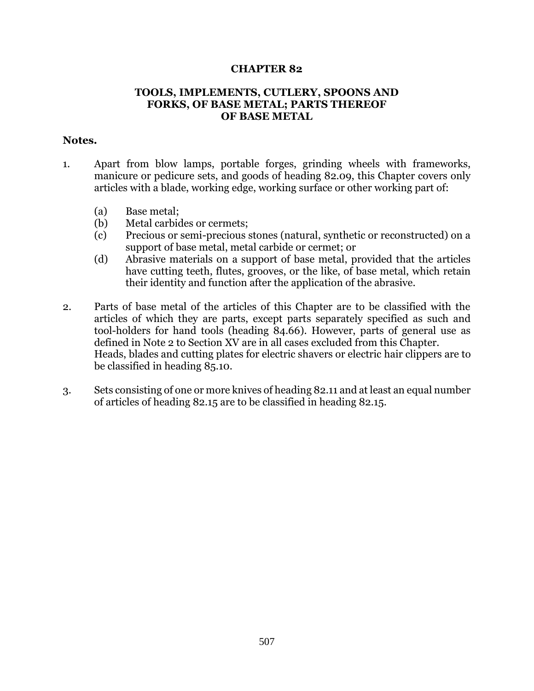## **CHAPTER 82**

## **TOOLS, IMPLEMENTS, CUTLERY, SPOONS AND FORKS, OF BASE METAL; PARTS THEREOF OF BASE METAL**

## **Notes.**

- 1. Apart from blow lamps, portable forges, grinding wheels with frameworks, manicure or pedicure sets, and goods of heading 82.09, this Chapter covers only articles with a blade, working edge, working surface or other working part of:
	- (a) Base metal;
	- (b) Metal carbides or cermets;
	- (c) Precious or semi-precious stones (natural, synthetic or reconstructed) on a support of base metal, metal carbide or cermet; or
	- (d) Abrasive materials on a support of base metal, provided that the articles have cutting teeth, flutes, grooves, or the like, of base metal, which retain their identity and function after the application of the abrasive.
- 2. Parts of base metal of the articles of this Chapter are to be classified with the articles of which they are parts, except parts separately specified as such and tool-holders for hand tools (heading 84.66). However, parts of general use as defined in Note 2 to Section XV are in all cases excluded from this Chapter. Heads, blades and cutting plates for electric shavers or electric hair clippers are to be classified in heading 85.10.
- 3. Sets consisting of one or more knives of heading 82.11 and at least an equal number of articles of heading 82.15 are to be classified in heading 82.15.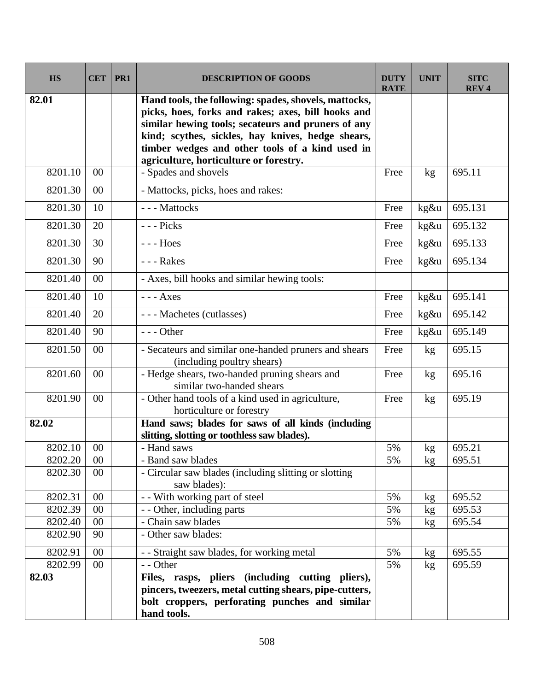| <b>HS</b> | <b>CET</b> | PR <sub>1</sub> | <b>DESCRIPTION OF GOODS</b>                                                                                                                                                                                                                                                                                         | <b>DUTY</b><br><b>RATE</b> | <b>UNIT</b>     | <b>SITC</b><br><b>REV4</b> |
|-----------|------------|-----------------|---------------------------------------------------------------------------------------------------------------------------------------------------------------------------------------------------------------------------------------------------------------------------------------------------------------------|----------------------------|-----------------|----------------------------|
| 82.01     |            |                 | Hand tools, the following: spades, shovels, mattocks,<br>picks, hoes, forks and rakes; axes, bill hooks and<br>similar hewing tools; secateurs and pruners of any<br>kind; scythes, sickles, hay knives, hedge shears,<br>timber wedges and other tools of a kind used in<br>agriculture, horticulture or forestry. |                            |                 |                            |
| 8201.10   | $00\,$     |                 | - Spades and shovels                                                                                                                                                                                                                                                                                                | Free                       | kg              | 695.11                     |
| 8201.30   | $00\,$     |                 | - Mattocks, picks, hoes and rakes:                                                                                                                                                                                                                                                                                  |                            |                 |                            |
| 8201.30   | 10         |                 | --- Mattocks                                                                                                                                                                                                                                                                                                        | Free                       | kg&u            | 695.131                    |
| 8201.30   | 20         |                 | --- Picks                                                                                                                                                                                                                                                                                                           | Free                       | kg&u            | 695.132                    |
| 8201.30   | 30         |                 | $---$ Hoes                                                                                                                                                                                                                                                                                                          | Free                       | kg&u            | 695.133                    |
| 8201.30   | 90         |                 | --- Rakes                                                                                                                                                                                                                                                                                                           | Free                       | kg&u            | 695.134                    |
| 8201.40   | $00\,$     |                 | - Axes, bill hooks and similar hewing tools:                                                                                                                                                                                                                                                                        |                            |                 |                            |
| 8201.40   | 10         |                 | $---$ <b>Axes</b>                                                                                                                                                                                                                                                                                                   | Free                       | kg&u            | 695.141                    |
| 8201.40   | 20         |                 | --- Machetes (cutlasses)                                                                                                                                                                                                                                                                                            | Free                       | kg&u            | 695.142                    |
| 8201.40   | 90         |                 | $--$ Other                                                                                                                                                                                                                                                                                                          | Free                       | kg&u            | 695.149                    |
| 8201.50   | 00         |                 | - Secateurs and similar one-handed pruners and shears<br>(including poultry shears)                                                                                                                                                                                                                                 | Free                       | kg              | 695.15                     |
| 8201.60   | 00         |                 | - Hedge shears, two-handed pruning shears and<br>similar two-handed shears                                                                                                                                                                                                                                          | Free                       | kg              | 695.16                     |
| 8201.90   | $00\,$     |                 | - Other hand tools of a kind used in agriculture,<br>horticulture or forestry                                                                                                                                                                                                                                       | Free                       | kg <sub>2</sub> | 695.19                     |
| 82.02     |            |                 | Hand saws; blades for saws of all kinds (including<br>slitting, slotting or toothless saw blades).                                                                                                                                                                                                                  |                            |                 |                            |
| 8202.10   | 00         |                 | - Hand saws                                                                                                                                                                                                                                                                                                         | 5%                         | kg              | 695.21                     |
| 8202.20   | $00\,$     |                 | - Band saw blades                                                                                                                                                                                                                                                                                                   | 5%                         | kg              | 695.51                     |
| 8202.30   | $00\,$     |                 | - Circular saw blades (including slitting or slotting<br>saw blades):                                                                                                                                                                                                                                               |                            |                 |                            |
| 8202.31   | $00\,$     |                 | - - With working part of steel                                                                                                                                                                                                                                                                                      | 5%                         | kg              | 695.52                     |
| 8202.39   | $00\,$     |                 | - - Other, including parts                                                                                                                                                                                                                                                                                          | 5%                         | kg              | 695.53                     |
| 8202.40   | $00\,$     |                 | - Chain saw blades                                                                                                                                                                                                                                                                                                  | 5%                         | kg              | 695.54                     |
| 8202.90   | 90         |                 | - Other saw blades:                                                                                                                                                                                                                                                                                                 |                            |                 |                            |
| 8202.91   | $00\,$     |                 | - - Straight saw blades, for working metal                                                                                                                                                                                                                                                                          | 5%                         | kg              | 695.55                     |
| 8202.99   | $00\,$     |                 | - - Other                                                                                                                                                                                                                                                                                                           | 5%                         | kg              | 695.59                     |
| 82.03     |            |                 | Files, rasps, pliers (including cutting pliers),<br>pincers, tweezers, metal cutting shears, pipe-cutters,<br>bolt croppers, perforating punches and similar<br>hand tools.                                                                                                                                         |                            |                 |                            |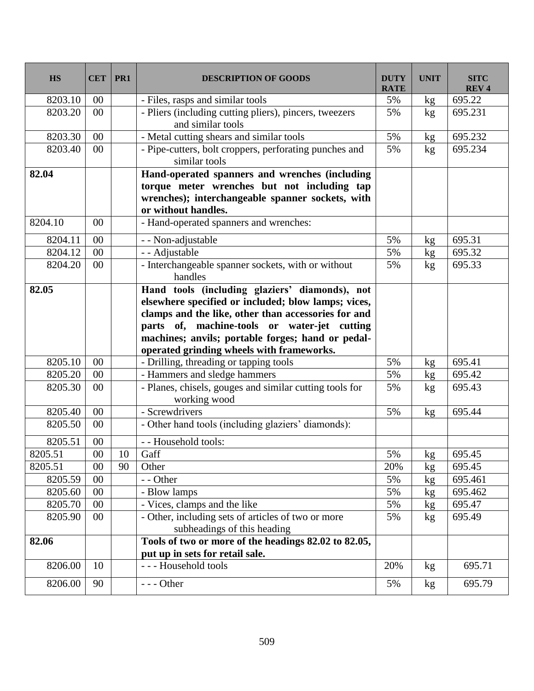| <b>HS</b> | <b>CET</b> | PR1    | <b>DESCRIPTION OF GOODS</b>                                                                                                                                                                                                                                                                                    | <b>DUTY</b><br><b>RATE</b> | <b>UNIT</b> | <b>SITC</b><br><b>REV4</b> |
|-----------|------------|--------|----------------------------------------------------------------------------------------------------------------------------------------------------------------------------------------------------------------------------------------------------------------------------------------------------------------|----------------------------|-------------|----------------------------|
| 8203.10   | 00         |        | - Files, rasps and similar tools                                                                                                                                                                                                                                                                               | 5%                         | kg          | 695.22                     |
| 8203.20   | 00         |        | - Pliers (including cutting pliers), pincers, tweezers<br>and similar tools                                                                                                                                                                                                                                    | 5%                         | kg          | 695.231                    |
| 8203.30   | $00\,$     |        | - Metal cutting shears and similar tools                                                                                                                                                                                                                                                                       | 5%                         | kg          | 695.232                    |
| 8203.40   | 00         |        | - Pipe-cutters, bolt croppers, perforating punches and<br>similar tools                                                                                                                                                                                                                                        | 5%                         | kg          | 695.234                    |
| 82.04     |            |        | Hand-operated spanners and wrenches (including<br>torque meter wrenches but not including tap<br>wrenches); interchangeable spanner sockets, with<br>or without handles.                                                                                                                                       |                            |             |                            |
| 8204.10   | 00         |        | - Hand-operated spanners and wrenches:                                                                                                                                                                                                                                                                         |                            |             |                            |
| 8204.11   | 00         |        | - - Non-adjustable                                                                                                                                                                                                                                                                                             | 5%                         | kg          | 695.31                     |
| 8204.12   | 00         |        | - - Adjustable                                                                                                                                                                                                                                                                                                 | 5%                         | kg          | 695.32                     |
| 8204.20   | 00         |        | - Interchangeable spanner sockets, with or without<br>handles                                                                                                                                                                                                                                                  | 5%                         | kg          | 695.33                     |
| 82.05     |            |        | Hand tools (including glaziers' diamonds), not<br>elsewhere specified or included; blow lamps; vices,<br>clamps and the like, other than accessories for and<br>parts of, machine-tools or water-jet cutting<br>machines; anvils; portable forges; hand or pedal-<br>operated grinding wheels with frameworks. |                            |             |                            |
| 8205.10   | 00         |        | - Drilling, threading or tapping tools                                                                                                                                                                                                                                                                         | 5%                         | kg          | 695.41                     |
| 8205.20   | 00         |        | - Hammers and sledge hammers                                                                                                                                                                                                                                                                                   | 5%                         | kg          | 695.42                     |
| 8205.30   | 00         |        | - Planes, chisels, gouges and similar cutting tools for<br>working wood                                                                                                                                                                                                                                        | 5%                         | kg          | 695.43                     |
| 8205.40   | 00         |        | - Screwdrivers                                                                                                                                                                                                                                                                                                 | 5%                         | kg          | 695.44                     |
| 8205.50   | 00         |        | - Other hand tools (including glaziers' diamonds):                                                                                                                                                                                                                                                             |                            |             |                            |
| 8205.51   | 00         |        | - - Household tools:                                                                                                                                                                                                                                                                                           |                            |             |                            |
| 8205.51   | $00\,$     | $10\,$ | Gaff                                                                                                                                                                                                                                                                                                           | 5%                         | kg          | 695.45                     |
| 8205.51   | 00         | 90     | Other                                                                                                                                                                                                                                                                                                          | 20%                        | kg          | 695.45                     |
| 8205.59   | 00         |        | - - Other                                                                                                                                                                                                                                                                                                      | 5%                         | kg          | 695.461                    |
| 8205.60   | 00         |        | - Blow lamps                                                                                                                                                                                                                                                                                                   | 5%                         | kg          | 695.462                    |
| 8205.70   | 00         |        | - Vices, clamps and the like                                                                                                                                                                                                                                                                                   | 5%                         | kg          | 695.47                     |
| 8205.90   | 00         |        | - Other, including sets of articles of two or more<br>subheadings of this heading                                                                                                                                                                                                                              | 5%                         | kg          | 695.49                     |
| 82.06     |            |        | Tools of two or more of the headings 82.02 to 82.05,                                                                                                                                                                                                                                                           |                            |             |                            |
|           |            |        | put up in sets for retail sale.                                                                                                                                                                                                                                                                                |                            |             |                            |
| 8206.00   | 10         |        | --- Household tools                                                                                                                                                                                                                                                                                            | 20%                        | kg          | 695.71                     |
| 8206.00   | 90         |        | $--$ Other                                                                                                                                                                                                                                                                                                     | 5%                         | kg          | 695.79                     |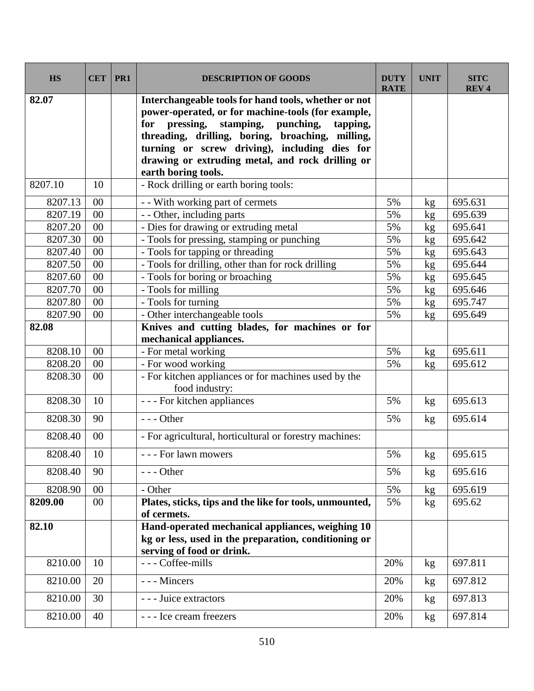| <b>HS</b>          | <b>CET</b> | PR1 | <b>DESCRIPTION OF GOODS</b>                                                                                                                                                                                                                                                                                          | <b>DUTY</b><br><b>RATE</b> | <b>UNIT</b> | <b>SITC</b><br><b>REV4</b> |
|--------------------|------------|-----|----------------------------------------------------------------------------------------------------------------------------------------------------------------------------------------------------------------------------------------------------------------------------------------------------------------------|----------------------------|-------------|----------------------------|
| 82.07              |            |     | Interchangeable tools for hand tools, whether or not<br>power-operated, or for machine-tools (for example,<br>for pressing, stamping, punching,<br>tapping,<br>threading, drilling, boring, broaching, milling,<br>turning or screw driving), including dies for<br>drawing or extruding metal, and rock drilling or |                            |             |                            |
| 8207.10            | 10         |     | earth boring tools.<br>- Rock drilling or earth boring tools:                                                                                                                                                                                                                                                        |                            |             |                            |
|                    |            |     |                                                                                                                                                                                                                                                                                                                      |                            |             |                            |
| 8207.13            | $00\,$     |     | - - With working part of cermets                                                                                                                                                                                                                                                                                     | 5%                         | kg          | 695.631                    |
| 8207.19            | 00<br>00   |     | - - Other, including parts                                                                                                                                                                                                                                                                                           | 5%                         | kg          | 695.639                    |
| 8207.20<br>8207.30 | 00         |     | - Dies for drawing or extruding metal<br>- Tools for pressing, stamping or punching                                                                                                                                                                                                                                  | 5%<br>5%                   | kg          | 695.641<br>695.642         |
| 8207.40            | 00         |     | - Tools for tapping or threading                                                                                                                                                                                                                                                                                     | 5%                         | kg          | 695.643                    |
| 8207.50            | 00         |     | - Tools for drilling, other than for rock drilling                                                                                                                                                                                                                                                                   | 5%                         | kg<br>kg    | 695.644                    |
| 8207.60            | $00\,$     |     | - Tools for boring or broaching                                                                                                                                                                                                                                                                                      | 5%                         | kg          | 695.645                    |
| 8207.70            | 00         |     | - Tools for milling                                                                                                                                                                                                                                                                                                  | 5%                         | kg          | 695.646                    |
| 8207.80            | 00         |     | - Tools for turning                                                                                                                                                                                                                                                                                                  | 5%                         | kg          | 695.747                    |
| 8207.90            | 00         |     | - Other interchangeable tools                                                                                                                                                                                                                                                                                        | 5%                         | kg          | 695.649                    |
| 82.08              |            |     | Knives and cutting blades, for machines or for                                                                                                                                                                                                                                                                       |                            |             |                            |
|                    |            |     | mechanical appliances.                                                                                                                                                                                                                                                                                               |                            |             |                            |
| 8208.10            | $00\,$     |     | - For metal working                                                                                                                                                                                                                                                                                                  | 5%                         | kg          | 695.611                    |
| 8208.20            | 00         |     | - For wood working                                                                                                                                                                                                                                                                                                   | 5%                         | kg          | 695.612                    |
| 8208.30            | 00         |     | - For kitchen appliances or for machines used by the<br>food industry:                                                                                                                                                                                                                                               |                            |             |                            |
| 8208.30            | 10         |     | - - - For kitchen appliances                                                                                                                                                                                                                                                                                         | 5%                         | kg          | 695.613                    |
| 8208.30            | 90         |     | $--- Other$                                                                                                                                                                                                                                                                                                          | 5%                         | kg          | 695.614                    |
| 8208.40            | 00         |     | - For agricultural, horticultural or forestry machines:                                                                                                                                                                                                                                                              |                            |             |                            |
| 8208.40            | 10         |     | - - For lawn mowers                                                                                                                                                                                                                                                                                                  | 5%                         | kg          | 695.615                    |
| 8208.40            | 90         |     | $--- Other$                                                                                                                                                                                                                                                                                                          | 5%                         | kg          | 695.616                    |
| 8208.90            | $00\,$     |     | - Other                                                                                                                                                                                                                                                                                                              | 5%                         | kg          | 695.619                    |
| 8209.00            | 00         |     | Plates, sticks, tips and the like for tools, unmounted,<br>of cermets.                                                                                                                                                                                                                                               | 5%                         | kg          | 695.62                     |
| 82.10              |            |     | Hand-operated mechanical appliances, weighing 10<br>kg or less, used in the preparation, conditioning or<br>serving of food or drink.                                                                                                                                                                                |                            |             |                            |
| 8210.00            | 10         |     | --- Coffee-mills                                                                                                                                                                                                                                                                                                     | 20%                        | kg          | 697.811                    |
| 8210.00            | 20         |     | --- Mincers                                                                                                                                                                                                                                                                                                          | 20%                        | kg          | 697.812                    |
| 8210.00            | 30         |     | --- Juice extractors                                                                                                                                                                                                                                                                                                 | 20%                        | kg          | 697.813                    |
| 8210.00            | 40         |     | --- Ice cream freezers                                                                                                                                                                                                                                                                                               | 20%                        | kg          | 697.814                    |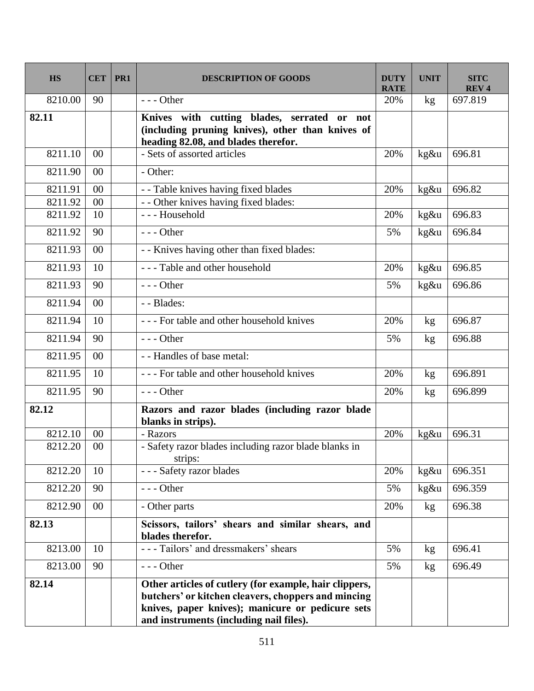| <b>HS</b> | <b>CET</b> | PR1 | <b>DESCRIPTION OF GOODS</b>                                                                                                                                                                                  | <b>DUTY</b><br><b>RATE</b> | <b>UNIT</b> | <b>SITC</b><br><b>REV4</b> |
|-----------|------------|-----|--------------------------------------------------------------------------------------------------------------------------------------------------------------------------------------------------------------|----------------------------|-------------|----------------------------|
| 8210.00   | 90         |     | $--$ Other                                                                                                                                                                                                   | 20%                        | kg          | 697.819                    |
| 82.11     |            |     | Knives with cutting blades, serrated or not<br>(including pruning knives), other than knives of<br>heading 82.08, and blades therefor.                                                                       |                            |             |                            |
| 8211.10   | 00         |     | - Sets of assorted articles                                                                                                                                                                                  | 20%                        | kg&u        | 696.81                     |
| 8211.90   | 00         |     | - Other:                                                                                                                                                                                                     |                            |             |                            |
| 8211.91   | $00\,$     |     | - - Table knives having fixed blades                                                                                                                                                                         | 20%                        | $kg\&u$     | 696.82                     |
| 8211.92   | 00         |     | - - Other knives having fixed blades:                                                                                                                                                                        |                            |             |                            |
| 8211.92   | 10         |     | --- Household                                                                                                                                                                                                | 20%                        | kg&u        | 696.83                     |
| 8211.92   | 90         |     | $--$ Other                                                                                                                                                                                                   | 5%                         | kg&u        | 696.84                     |
| 8211.93   | $00\,$     |     | - - Knives having other than fixed blades:                                                                                                                                                                   |                            |             |                            |
| 8211.93   | 10         |     | --- Table and other household                                                                                                                                                                                | 20%                        | kg&u        | 696.85                     |
| 8211.93   | 90         |     | $--$ Other                                                                                                                                                                                                   | 5%                         | kg&u        | 696.86                     |
| 8211.94   | $00\,$     |     | - - Blades:                                                                                                                                                                                                  |                            |             |                            |
| 8211.94   | 10         |     | --- For table and other household knives                                                                                                                                                                     | 20%                        | kg          | 696.87                     |
| 8211.94   | 90         |     | $--$ Other                                                                                                                                                                                                   | 5%                         | kg          | 696.88                     |
| 8211.95   | $00\,$     |     | - - Handles of base metal:                                                                                                                                                                                   |                            |             |                            |
| 8211.95   | 10         |     | --- For table and other household knives                                                                                                                                                                     | 20%                        | kg          | 696.891                    |
| 8211.95   | 90         |     | $--$ Other                                                                                                                                                                                                   | 20%                        | kg          | 696.899                    |
| 82.12     |            |     | Razors and razor blades (including razor blade<br>blanks in strips).                                                                                                                                         |                            |             |                            |
| 8212.10   | 00         |     | - Razors                                                                                                                                                                                                     | 20%                        | kg&u        | 696.31                     |
| 8212.20   | 00         |     | - Safety razor blades including razor blade blanks in<br>strips:                                                                                                                                             |                            |             |                            |
| 8212.20   | 10         |     | --- Safety razor blades                                                                                                                                                                                      | 20%                        | kg&u        | 696.351                    |
| 8212.20   | 90         |     | $--$ Other                                                                                                                                                                                                   | 5%                         | kg&u        | 696.359                    |
| 8212.90   | $00\,$     |     | - Other parts                                                                                                                                                                                                | 20%                        | kg          | 696.38                     |
| 82.13     |            |     | Scissors, tailors' shears and similar shears, and<br>blades therefor.                                                                                                                                        |                            |             |                            |
| 8213.00   | 10         |     | --- Tailors' and dressmakers' shears                                                                                                                                                                         | 5%                         | kg          | 696.41                     |
| 8213.00   | 90         |     | $--$ Other                                                                                                                                                                                                   | 5%                         | kg          | 696.49                     |
| 82.14     |            |     | Other articles of cutlery (for example, hair clippers,<br>butchers' or kitchen cleavers, choppers and mincing<br>knives, paper knives); manicure or pedicure sets<br>and instruments (including nail files). |                            |             |                            |